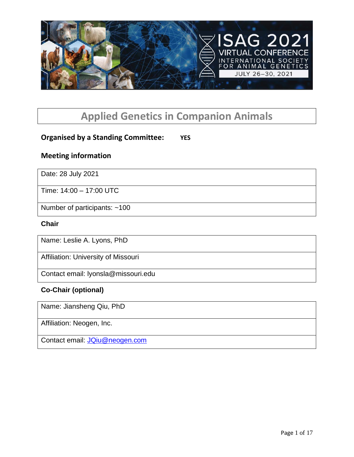

# **Applied Genetics in Companion Animals**

# **Organised by a Standing Committee: YES**

## **Meeting information**

Date: 28 July 2021

Time: 14:00 – 17:00 UTC

Number of participants: ~100

#### **Chair**

Name: Leslie A. Lyons, PhD

Affiliation: University of Missouri

Contact email: lyonsla@missouri.edu

#### **Co-Chair (optional)**

Name: Jiansheng Qiu, PhD

Affiliation: Neogen, Inc.

Contact email: [JQiu@neogen.com](mailto:JQiu@neogen.com)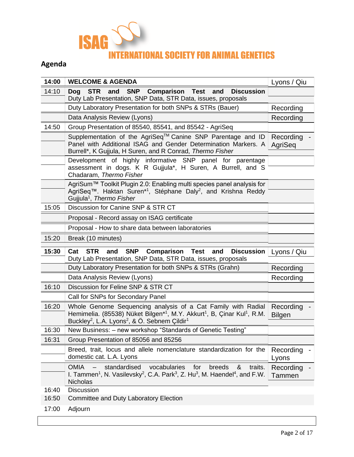

# **Agenda**

| 14:00 | <b>WELCOME &amp; AGENDA</b>                                                                                                                                                                                                                                           | Lyons / Qiu                |
|-------|-----------------------------------------------------------------------------------------------------------------------------------------------------------------------------------------------------------------------------------------------------------------------|----------------------------|
| 14:10 | <b>STR</b><br><b>SNP Comparison Test</b><br><b>Dog</b><br>and<br>and<br><b>Discussion</b>                                                                                                                                                                             |                            |
|       | Duty Lab Presentation, SNP Data, STR Data, issues, proposals<br>Duty Laboratory Presentation for both SNPs & STRs (Bauer)                                                                                                                                             |                            |
|       |                                                                                                                                                                                                                                                                       | Recording                  |
|       | Data Analysis Review (Lyons)                                                                                                                                                                                                                                          | Recording                  |
| 14:50 | Group Presentation of 85540, 85541, and 85542 - AgriSeq                                                                                                                                                                                                               |                            |
|       | Supplementation of the AgriSeq™ Canine SNP Parentage and ID<br>Panel with Additional ISAG and Gender Determination Markers. A<br>Burrell*, K Gujjula, H Suren, and R Conrad, Thermo Fisher                                                                            | Recording -<br>AgriSeq     |
|       | Development of highly informative SNP panel for parentage<br>assessment in dogs. K R Gujjula*, H Suren, A Burrell, and S<br>Chadaram, Thermo Fisher                                                                                                                   |                            |
|       | AgriSum™ Toolkit Plugin 2.0: Enabling multi species panel analysis for<br>AgriSeq™. Haktan Suren*1, Stéphane Daly <sup>2</sup> , and Krishna Reddy<br>Gujjula <sup>1</sup> , Thermo Fisher                                                                            |                            |
| 15:05 | Discussion for Canine SNP & STR CT                                                                                                                                                                                                                                    |                            |
|       | Proposal - Record assay on ISAG certificate                                                                                                                                                                                                                           |                            |
|       | Proposal - How to share data between laboratories                                                                                                                                                                                                                     |                            |
| 15:20 | Break (10 minutes)                                                                                                                                                                                                                                                    |                            |
|       |                                                                                                                                                                                                                                                                       |                            |
| 15:30 | <b>Comparison Test</b><br>Cat<br><b>STR</b><br><b>SNP</b><br>and<br>and<br><b>Discussion</b>                                                                                                                                                                          | Lyons / Qiu                |
|       | Duty Lab Presentation, SNP Data, STR Data, issues, proposals<br>Duty Laboratory Presentation for both SNPs & STRs (Grahn)                                                                                                                                             | Recording                  |
|       | Data Analysis Review (Lyons)                                                                                                                                                                                                                                          | Recording                  |
| 16:10 | Discussion for Feline SNP & STR CT                                                                                                                                                                                                                                    |                            |
|       | Call for SNPs for Secondary Panel                                                                                                                                                                                                                                     |                            |
| 16:20 | Whole Genome Sequencing analysis of a Cat Family with Radial<br>Hemimelia. (85538) Nüket Bilgen*1, M.Y. Akkurt1, B, Çinar Kul1, R.M.<br>Buckley <sup>2</sup> , L.A. Lyons <sup>2</sup> , & Ö. Sebnem Çildir <sup>1</sup>                                              | Recording<br><b>Bilgen</b> |
| 16:30 | New Business: - new workshop "Standards of Genetic Testing"                                                                                                                                                                                                           |                            |
| 16:31 | Group Presentation of 85056 and 85256                                                                                                                                                                                                                                 |                            |
|       | Breed, trait, locus and allele nomenclature standardization for the<br>domestic cat. L.A. Lyons                                                                                                                                                                       | Recording<br>Lyons         |
|       | standardised<br>vocabularies<br>traits.<br><b>OMIA</b><br>for<br>breeds<br>&<br>$\overline{\phantom{m}}$<br>I. Tammen <sup>1</sup> , N. Vasilevsky <sup>2</sup> , C.A. Park <sup>3</sup> , Z. Hu <sup>3</sup> , M. Haendel <sup>4</sup> , and F.W.<br><b>Nicholas</b> | Recording<br>Tammen        |
| 16:40 | <b>Discussion</b>                                                                                                                                                                                                                                                     |                            |
| 16:50 | Committee and Duty Laboratory Election                                                                                                                                                                                                                                |                            |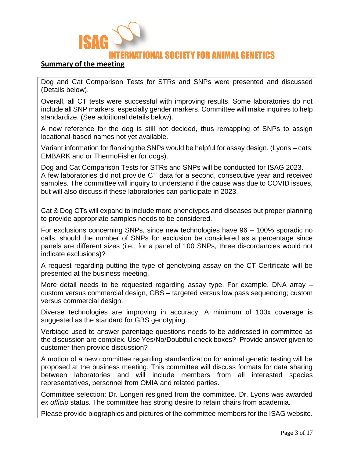

#### **Summary of the meeting**

Dog and Cat Comparison Tests for STRs and SNPs were presented and discussed (Details below).

Overall, all CT tests were successful with improving results. Some laboratories do not include all SNP markers, especially gender markers. Committee will make inquires to help standardize. (See additional details below).

A new reference for the dog is still not decided, thus remapping of SNPs to assign locational-based names not yet available.

Variant information for flanking the SNPs would be helpful for assay design. (Lyons – cats; EMBARK and or ThermoFisher for dogs).

Dog and Cat Comparison Tests for STRs and SNPs will be conducted for ISAG 2023. A few laboratories did not provide CT data for a second, consecutive year and received samples. The committee will inquiry to understand if the cause was due to COVID issues, but will also discuss if these laboratories can participate in 2023.

Cat & Dog CTs will expand to include more phenotypes and diseases but proper planning to provide appropriate samples needs to be considered.

For exclusions concerning SNPs, since new technologies have 96 – 100% sporadic no calls, should the number of SNPs for exclusion be considered as a percentage since panels are different sizes (i.e., for a panel of 100 SNPs, three discordancies would not indicate exclusions)?

A request regarding putting the type of genotyping assay on the CT Certificate will be presented at the business meeting.

More detail needs to be requested regarding assay type. For example, DNA array – custom versus commercial design, GBS – targeted versus low pass sequencing; custom versus commercial design.

Diverse technologies are improving in accuracy. A minimum of 100x coverage is suggested as the standard for GBS genotyping.

Verbiage used to answer parentage questions needs to be addressed in committee as the discussion are complex. Use Yes/No/Doubtful check boxes? Provide answer given to customer then provide discussion?

A motion of a new committee regarding standardization for animal genetic testing will be proposed at the business meeting. This committee will discuss formats for data sharing between laboratories and will include members from all interested species representatives, personnel from OMIA and related parties.

Committee selection: Dr. Longeri resigned from the committee. Dr. Lyons was awarded *ex officio* status. The committee has strong desire to retain chairs from academia.

Please provide biographies and pictures of the committee members for the ISAG website.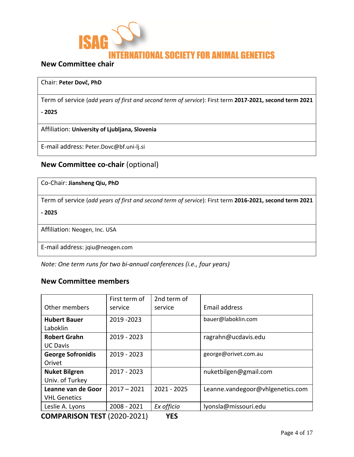

## **New Committee chair**

#### Chair: **Peter Dovč, PhD**

Term of service (*add years of first and second term of service*): First term **2017-2021, second term 2021**

**- 2025**

Affiliation: **University of Ljubljana, Slovenia**

E-mail address: Peter.Dovc@bf.uni-lj.si

# **New Committee co-chair** (optional)

| Co-Chair: Jiansheng Qiu, PhD                                                                            |
|---------------------------------------------------------------------------------------------------------|
| Term of service (add years of first and second term of service): First term 2016-2021, second term 2021 |
| $-2025$                                                                                                 |
| Affiliation: Neogen, Inc. USA                                                                           |
| E-mail address: jqiu@neogen.com                                                                         |

*Note: One term runs for two bi-annual conferences (i.e., four years)*

#### **New Committee members**

|                               | First term of | 2nd term of   |                                  |
|-------------------------------|---------------|---------------|----------------------------------|
| Other members                 | service       | service       | Email address                    |
| <b>Hubert Bauer</b>           | 2019 - 2023   |               | bauer@laboklin.com               |
| Laboklin                      |               |               |                                  |
| <b>Robert Grahn</b>           | 2019 - 2023   |               | ragrahn@ucdavis.edu              |
| <b>UC Davis</b>               |               |               |                                  |
| <b>George Sofronidis</b>      | $2019 - 2023$ |               | george@orivet.com.au             |
| Orivet                        |               |               |                                  |
| <b>Nuket Bilgren</b>          | $2017 - 2023$ |               | nuketbilgen@gmail.com            |
| Univ. of Turkey               |               |               |                                  |
| Leanne van de Goor            | $2017 - 2021$ | $2021 - 2025$ | Leanne.vandegoor@vhlgenetics.com |
| <b>VHL Genetics</b>           |               |               |                                  |
| Leslie A. Lyons               | 2008 - 2021   | Ex officio    | lyonsla@missouri.edu             |
| COMADADICON TECT (2020, 2021) |               | <b>VEC</b>    |                                  |

**COMPARISON TEST** (2020-2021) **YES**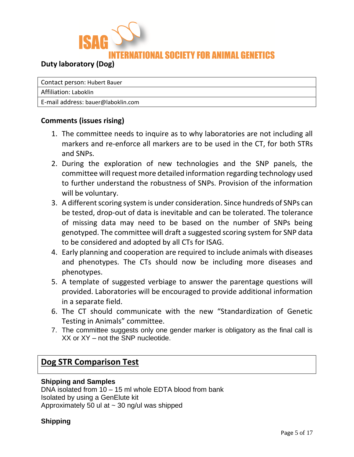

# **Duty laboratory (Dog)**

Contact person: Hubert Bauer

Affiliation: Laboklin

E-mail address: bauer@laboklin.com

#### **Comments (issues rising)**

- 1. The committee needs to inquire as to why laboratories are not including all markers and re-enforce all markers are to be used in the CT, for both STRs and SNPs.
- 2. During the exploration of new technologies and the SNP panels, the committee will request more detailed information regarding technology used to further understand the robustness of SNPs. Provision of the information will be voluntary.
- 3. A different scoring system is under consideration. Since hundreds of SNPs can be tested, drop-out of data is inevitable and can be tolerated. The tolerance of missing data may need to be based on the number of SNPs being genotyped. The committee will draft a suggested scoring system for SNP data to be considered and adopted by all CTs for ISAG.
- 4. Early planning and cooperation are required to include animals with diseases and phenotypes. The CTs should now be including more diseases and phenotypes.
- 5. A template of suggested verbiage to answer the parentage questions will provided. Laboratories will be encouraged to provide additional information in a separate field.
- 6. The CT should communicate with the new "Standardization of Genetic Testing in Animals" committee.
- 7. The committee suggests only one gender marker is obligatory as the final call is XX or XY – not the SNP nucleotide.

# **Dog STR Comparison Test**

#### **Shipping and Samples**

DNA isolated from 10 – 15 ml whole EDTA blood from bank Isolated by using a GenElute kit Approximately 50 ul at  $\sim$  30 ng/ul was shipped

#### **Shipping**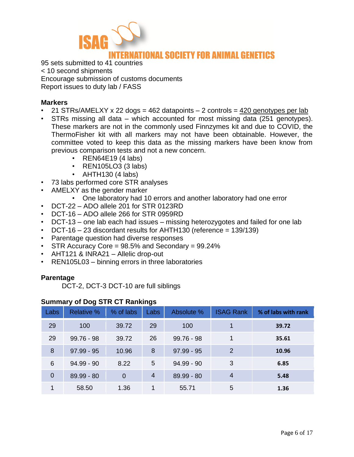

95 sets submitted to 41 countries < 10 second shipments Encourage submission of customs documents Report issues to duty lab / FASS

#### **Markers**

- 21 STRs/AMELXY x 22 dogs = 462 datapoints  $-$  2 controls =  $420$  genotypes per lab
- STRs missing all data which accounted for most missing data (251 genotypes). These markers are not in the commonly used Finnzymes kit and due to COVID, the ThermoFisher kit with all markers may not have been obtainable. However, the committee voted to keep this data as the missing markers have been know from previous comparison tests and not a new concern.
	- REN64E19 (4 labs)
	- REN105LO3 (3 labs)
	- AHTH130 (4 labs)
- 73 labs performed core STR analyses
- AMELXY as the gender marker
	- One laboratory had 10 errors and another laboratory had one error
- DCT-22 ADO allele 201 for STR 0123RD
- DCT-16 ADO allele 266 for STR 0959RD
- DCT-13 one lab each had issues missing heterozygotes and failed for one lab
- DCT-16 23 discordant results for AHTH130 (reference =  $139/139$ )
- Parentage question had diverse responses
- STR Accuracy Core = 98.5% and Secondary = 99.24%
- AHT121 & INRA21 Allelic drop-out
- REN105L03 binning errors in three laboratories

#### **Parentage**

DCT-2, DCT-3 DCT-10 are full siblings

#### **Summary of Dog STR CT Rankings**

| Labs           | <b>Relative %</b> | % of labs      | Labs           | Absolute %   | <b>ISAG Rank</b> | % of labs with rank |
|----------------|-------------------|----------------|----------------|--------------|------------------|---------------------|
| 29             | 100               | 39.72          | 29             | 100          | 1                | 39.72               |
| 29             | $99.76 - 98$      | 39.72          | 26             | $99.76 - 98$ | 1                | 35.61               |
| 8              | $97.99 - 95$      | 10.96          | 8              | $97.99 - 95$ | 2                | 10.96               |
| 6              | $94.99 - 90$      | 8.22           | 5              | $94.99 - 90$ | 3                | 6.85                |
| $\overline{0}$ | $89.99 - 80$      | $\overline{0}$ | $\overline{4}$ | $89.99 - 80$ | $\overline{4}$   | 5.48                |
| 1              | 58.50             | 1.36           |                | 55.71        | 5                | 1.36                |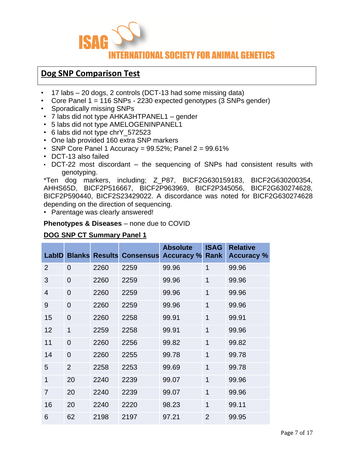

# **Dog SNP Comparison Test**

- 17 labs 20 dogs, 2 controls (DCT-13 had some missing data)
- Core Panel 1 = 116 SNPs 2230 expected genotypes (3 SNPs gender)
- Sporadically missing SNPs
- 7 labs did not type AHKA3HTPANEL1 gender
- 5 labs did not type AMELOGENINPANEL1
- 6 labs did not type chrY\_572523
- One lab provided 160 extra SNP markers
- SNP Core Panel 1 Accuracy =  $99.52\%$ ; Panel  $2 = 99.61\%$
- DCT-13 also failed
- DCT-22 most discordant the sequencing of SNPs had consistent results with genotyping.

\*Ten dog markers, including; Z\_P87, BICF2G630159183, BICF2G630200354, AHHS65D, BICF2P516667, BICF2P963969, BICF2P345056, BICF2G630274628, BICF2P590440, BICF2S23429022. A discordance was noted for BICF2G630274628 depending on the direction of sequencing.

• Parentage was clearly answered!

#### **Phenotypes & Diseases** – none due to COVID

#### **DOG SNP CT Summary Panel 1**

| <b>LabID</b>   |                | <b>Blanks Results</b> | <b>Consensus</b> | <b>Absolute</b><br><b>Accuracy</b> % | <b>ISAG</b><br>Rank | <b>Relative</b><br><b>Accuracy %</b> |
|----------------|----------------|-----------------------|------------------|--------------------------------------|---------------------|--------------------------------------|
| $\overline{2}$ | $\overline{0}$ | 2260                  | 2259             | 99.96                                | 1                   | 99.96                                |
| 3              | $\overline{0}$ | 2260                  | 2259             | 99.96                                | 1                   | 99.96                                |
| $\overline{4}$ | $\overline{0}$ | 2260                  | 2259             | 99.96                                | $\overline{1}$      | 99.96                                |
| 9              | $\overline{0}$ | 2260                  | 2259             | 99.96                                | $\overline{1}$      | 99.96                                |
| 15             | $\overline{0}$ | 2260                  | 2258             | 99.91                                | $\overline{1}$      | 99.91                                |
| 12             | $\overline{1}$ | 2259                  | 2258             | 99.91                                | $\overline{1}$      | 99.96                                |
| 11             | $\overline{0}$ | 2260                  | 2256             | 99.82                                | $\overline{1}$      | 99.82                                |
| 14             | $\overline{0}$ | 2260                  | 2255             | 99.78                                | $\overline{1}$      | 99.78                                |
| 5              | $\overline{2}$ | 2258                  | 2253             | 99.69                                | $\overline{1}$      | 99.78                                |
| 1              | 20             | 2240                  | 2239             | 99.07                                | $\overline{1}$      | 99.96                                |
| $\overline{7}$ | 20             | 2240                  | 2239             | 99.07                                | $\overline{1}$      | 99.96                                |
| 16             | 20             | 2240                  | 2220             | 98.23                                | $\overline{1}$      | 99.11                                |
| 6              | 62             | 2198                  | 2197             | 97.21                                | $\overline{2}$      | 99.95                                |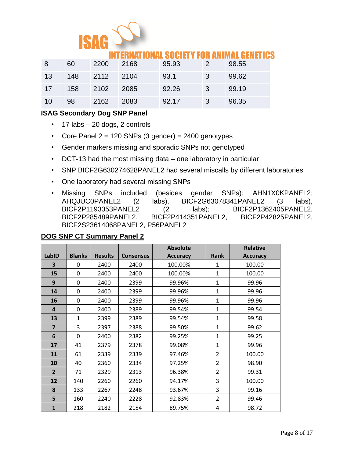

# ATIONAL SOCIETY FOR ANIMAL GENETICS

| -8 | 60  | 2200 | 2168 | 95.93 | -27           | 98.55 |
|----|-----|------|------|-------|---------------|-------|
| 13 | 148 | 2112 | 2104 | 93.1  | 3             | 99.62 |
| 17 | 158 | 2102 | 2085 | 92.26 | $\mathcal{B}$ | 99.19 |
| 10 | 98  | 2162 | 2083 | 92.17 | 3             | 96.35 |

#### **ISAG Secondary Dog SNP Panel**

- $\cdot$  17 labs 20 dogs, 2 controls
- Core Panel  $2 = 120$  SNPs (3 gender) = 2400 genotypes
- Gender markers missing and sporadic SNPs not genotyped
- DCT-13 had the most missing data one laboratory in particular
- SNP BICF2G630274628PANEL2 had several miscalls by different laboratories
- One laboratory had several missing SNPs
- Missing SNPs included (besides gender SNPs): AHN1X0KPANEL2; AHQJUC0PANEL2 (2 labs), BICF2G63078341PANEL2 (3 labs), BICF2P1193353PANEL2 (2 labs); BICF2P1362405PANEL2, BICF2P285489PANEL2, BICF2P414351PANEL2, BICF2P42825PANEL2, BICF2S23614068PANEL2, P56PANEL2

#### **LabID Blanks Results Consensus Absolute Accuracy Rank Relative Accuracy 3** | 0 | 2400 | 2400 | 100.00% | 1 | 100.00 **15** | 0 | 2400 | 2400 | 100.00% | 1 | 100.00 **9** | 0 | 2400 | 2399 | 99.96% | 1 | 99.96 **14** | 0 | 2400 | 2399 | 99.96% | 1 | 99.96 **16** | 0 | 2400 | 2399 | 99.96% | 1 | 99.96 **4** | 0 | 2400 | 2389 | 99.54% | 1 | 99.54 **13** | 1 | 2399 | 2389 | 99.54% | 1 | 99.58 **7** | 3 | 2397 | 2388 | 99.50% | 1 | 99.62 **6** | 0 | 2400 | 2382 | 99.25% | 1 | 99.25 **17** | 41 | 2379 | 2378 | 99.08% | 1 | 99.96 **11** | 61 | 2339 | 2339 | 97.46% | 2 | 100.00 **10** | 40 | 2360 | 2334 | 97.25% | 2 | 98.90 **2** | 71 | 2329 | 2313 | 96.38% | 2 | 99.31 **12** | 140 | 2260 | 2260 | 94.17% | 3 | 100.00 **8** | 133 | 2267 | 2248 | 93.67% | 3 | 99.16 **5** | 160 | 2240 | 2228 | 92.83% | 2 | 99.46 **1** | 218 | 2182 | 2154 | 89.75% | 4 | 98.72

#### **DOG SNP CT Summary Panel 2**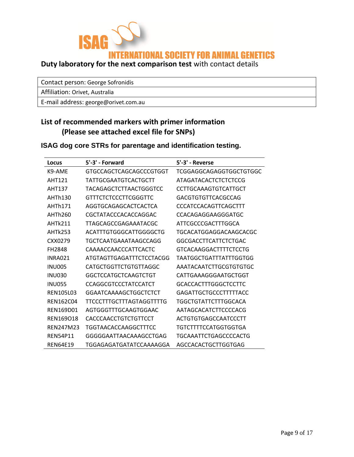

Contact person: George Sofronidis

Affiliation: Orivet, Australia

E-mail address: george@orivet.com.au

# **List of recommended markers with primer information (Please see attached excel file for SNPs)**

| ISAG dog core STRs for parentage and identification testing. |
|--------------------------------------------------------------|
|--------------------------------------------------------------|

| Locus              | 5'-3' - Forward                | 5'-3' - Reverse              |
|--------------------|--------------------------------|------------------------------|
| K9-AME             | <b>GTGCCAGCTCAGCAGCCCGTGGT</b> | TCGGAGGCAGAGGTGGCTGTGGC      |
| AHT121             | TATTGCGAATGTCACTGCTT           | <b>ATAGATACACTCTCTCTCCG</b>  |
| <b>AHT137</b>      | TACAGAGCTCTTAACTGGGTCC         | CCTTGCAAAGTGTCATTGCT         |
| AHTh130            | <b>GTTTCTCTCCCTTCGGGTTC</b>    | GACGTGTGTTCACGCCAG           |
| AHTh171            | AGGTGCAGAGCACTCACTCA           | <b>CCCATCCACAGTTCAGCTTT</b>  |
| AHTh260            | CGCTATACCCACACCAGGAC           | CCACAGAGGAAGGGATGC           |
| AHTk211            | <b>TTAGCAGCCGAGAAATACGC</b>    | ATTCGCCCGACTTTGGCA           |
| <b>AHTk253</b>     | ACATTTGTGGGCATTGGGGCTG         | TGCACATGGAGGACAAGCACGC       |
| CXX0279            | TGCTCAATGAAATAAGCCAGG          | GGCGACCTTCATTCTCTGAC         |
| FH <sub>2848</sub> | CAAAACCAACCCATTCACTC           | <b>GTCACAAGGACTTTTCTCCTG</b> |
| INRA021            | ATGTAGTTGAGATTTCTCCTACGG       | TAATGGCTGATTTATTTGGTGG       |
| <b>INU005</b>      | <b>CATGCTGGTTCTGTGTTAGGC</b>   | AAATACAATCTTGCGTGTGTGC       |
| <b>INU030</b>      | GGCTCCATGCTCAAGTCTGT           | CATTGAAAGGGAATGCTGGT         |
| <b>INU055</b>      | <b>CCAGGCGTCCCTATCCATCT</b>    | <b>GCACCACTTTGGGCTCCTTC</b>  |
| <b>REN105L03</b>   | GGAATCAAAAGCTGGCTCTCT          | <b>GAGATTGCTGCCCTTTTTACC</b> |
| <b>REN162C04</b>   | TTCCCTTTGCTTTAGTAGGTTTTG       | TGGCTGTATTCTTTGGCACA         |
| REN169D01          | AGTGGGTTTGCAAGTGGAAC           | AATAGCACATCTTCCCCACG         |
| REN169018          | <b>CACCCAACCTGTCTGTTCCT</b>    | ACTGTGTGAGCCAATCCCTT         |
| <b>REN247M23</b>   | TGGTAACACCAAGGCTTTCC           | TGTCTTTTCCATGGTGGTGA         |
| <b>REN54P11</b>    | GGGGGAATTAACAAAGCCTGAG         | TGCAAATTCTGAGCCCCACTG        |
| <b>REN64E19</b>    | TGGAGAGATGATATCCAAAAGGA        | AGCCACACTGCTTGGTGAG          |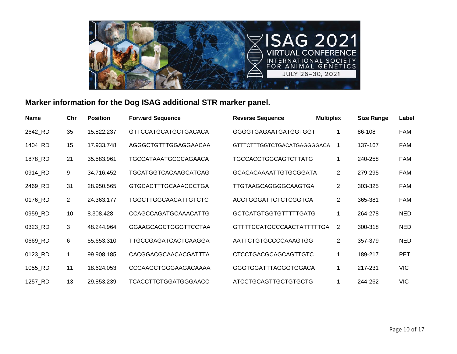

# **Marker information for the Dog ISAG additional STR marker panel.**

| <b>Name</b> | Chr            | <b>Position</b> | <b>Forward Sequence</b>     | <b>Reverse Sequence</b>      | <b>Multiplex</b> | <b>Size Range</b> | Label      |
|-------------|----------------|-----------------|-----------------------------|------------------------------|------------------|-------------------|------------|
| 2642_RD     | 35             | 15.822.237      | <b>GTTCCATGCATGCTGACACA</b> | <b>GGGGTGAGAATGATGGTGGT</b>  | 1                | 86-108            | FAM        |
| 1404_RD     | 15             | 17.933.748      | AGGGCTGTTTGGAGGAACAA        | GTTTCTTTGGTCTGACATGAGGGGACA  | 1                | 137-167           | <b>FAM</b> |
| 1878_RD     | 21             | 35.583.961      | <b>TGCCATAAATGCCCAGAACA</b> | <b>TGCCACCTGGCAGTCTTATG</b>  | 1                | 240-258           | <b>FAM</b> |
| 0914_RD     | 9              | 34.716.452      | TGCATGGTCACAAGCATCAG        | <b>GCACACAAAATTGTGCGGATA</b> | $\overline{2}$   | 279-295           | <b>FAM</b> |
| 2469_RD     | 31             | 28.950.565      | <b>GTGCACTTTGCAAACCCTGA</b> | TTGTAAGCAGGGGCAAGTGA         | $\overline{2}$   | 303-325           | FAM        |
| 0176_RD     | $\overline{2}$ | 24.363.177      | <b>TGGCTTGGCAACATTGTCTC</b> | <b>ACCTGGGATTCTCTCGGTCA</b>  | $\overline{2}$   | 365-381           | FAM        |
| 0959_RD     | 10             | 8.308.428       | <b>CCAGCCAGATGCAAACATTG</b> | <b>GCTCATGTGGTGTTTTTGATG</b> | 1                | 264-278           | <b>NED</b> |
| 0323_RD     | 3              | 48.244.964      | <b>GGAAGCAGCTGGGTTCCTAA</b> | GTTTTCCATGCCCAACTATTTTTGA    | $\overline{2}$   | 300-318           | <b>NED</b> |
| 0669_RD     | 6              | 55.653.310      | TTGCCGAGATCACTCAAGGA        | AATTCTGTGCCCCAAAGTGG         | $\overline{2}$   | 357-379           | <b>NED</b> |
| 0123_RD     | $\mathbf 1$    | 99.908.185      | CACGGACGCAACACGATTTA        | <b>CTCCTGACGCAGCAGTTGTC</b>  | 1                | 189-217           | <b>PET</b> |
| 1055_RD     | 11             | 18.624.053      | CCCAAGCTGGGAAGACAAAA        | <b>GGGTGGATTTAGGGTGGACA</b>  | 1                | 217-231           | <b>VIC</b> |
| 1257_RD     | 13             | 29.853.239      | <b>TCACCTTCTGGATGGGAACC</b> | ATCCTGCAGTTGCTGTGCTG         | 1                | 244-262           | <b>VIC</b> |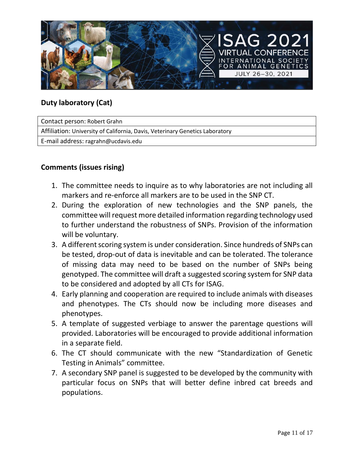

# **Duty laboratory (Cat)**

Contact person: Robert Grahn Affiliation: University of California, Davis, Veterinary Genetics Laboratory E-mail address: ragrahn@ucdavis.edu

# **Comments (issues rising)**

- 1. The committee needs to inquire as to why laboratories are not including all markers and re-enforce all markers are to be used in the SNP CT.
- 2. During the exploration of new technologies and the SNP panels, the committee will request more detailed information regarding technology used to further understand the robustness of SNPs. Provision of the information will be voluntary.
- 3. A different scoring system is under consideration. Since hundreds of SNPs can be tested, drop-out of data is inevitable and can be tolerated. The tolerance of missing data may need to be based on the number of SNPs being genotyped. The committee will draft a suggested scoring system for SNP data to be considered and adopted by all CTs for ISAG.
- 4. Early planning and cooperation are required to include animals with diseases and phenotypes. The CTs should now be including more diseases and phenotypes.
- 5. A template of suggested verbiage to answer the parentage questions will provided. Laboratories will be encouraged to provide additional information in a separate field.
- 6. The CT should communicate with the new "Standardization of Genetic Testing in Animals" committee.
- 7. A secondary SNP panel is suggested to be developed by the community with particular focus on SNPs that will better define inbred cat breeds and populations.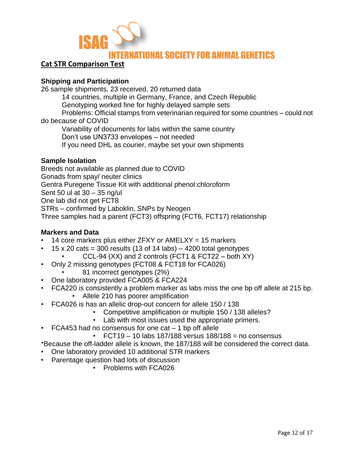

## **Cat STR Comparison Test**

#### **Shipping and Participation**

26 sample shipments, 23 received, 20 returned data

14 countries, multiple in Germany, France, and Czech Republic

Genotyping worked fine for highly delayed sample sets

Problems: Official stamps from veterinarian required for some countries – could not do because of COVID

Variability of documents for labs within the same country

Don't use UN3733 envelopes – not needed

If you need DHL as courier, maybe set your own shipments

## **Sample Isolation**

Breeds not available as planned due to COVID Gonads from spay/ neuter clinics Gentra Puregene Tissue Kit with additional phenol:chloroform Sent 50 ul at 30 – 35 ng/ul One lab did not get FCT8 STRs – confirmed by Laboklin, SNPs by Neogen Three samples had a parent (FCT3) offspring (FCT6, FCT17) relationship

## **Markers and Data**

- 14 core markers plus either  $ZFXY$  or  $AMELXY = 15$  markers
- 15 x 20 cats = 300 results (13 of 14 labs)  $-$  4200 total genotypes
	- CCL-94  $(XX)$  and 2 controls (FCT1 & FCT22 both  $XY$ )
- Only 2 missing genotypes (FCT08 & FCT18 for FCA026)
	- 81 incorrect genotypes (2%)
- One laboratory provided FCA005 & FCA224
- FCA220 is consistently a problem marker as labs miss the one bp off allele at 215 bp.
	- Allele 210 has poorer amplification
- FCA026 is has an allelic drop-out concern for allele 150 / 138
	- Competitive amplification or multiple 150 / 138 alleles?
	- Lab with most issues used the appropriate primers.
- FCA453 had no consensus for one cat  $-1$  bp off allele
	- $\cdot$  FCT19 10 labs 187/188 versus 188/188 = no consensus

\*Because the off-ladder allele is known, the 187/188 will be considered the correct data.

- One laboratory provided 10 additional STR markers
- Parentage question had lots of discussion
	- Problems with FCA026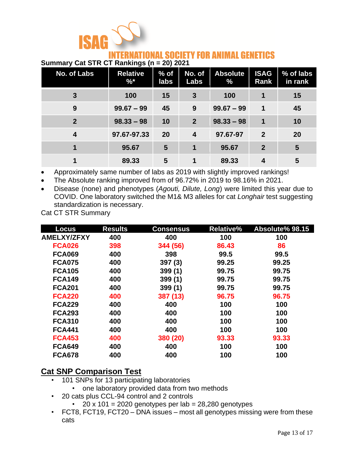

# RNATIONAL SOCIETY FOR ANIMAL GENETICS

### **Summary Cat STR CT Rankings (n = 20) 2021**

| No. of Labs    | <b>Relative</b><br>$\% *$ | $%$ of<br>labs | No. of<br>Labs   | <b>Absolute</b><br>$\%$ | <b>ISAG</b><br><b>Rank</b> | % of labs<br>in rank |
|----------------|---------------------------|----------------|------------------|-------------------------|----------------------------|----------------------|
| 3              | 100                       | 15             | 3                | 100                     | 1                          | 15                   |
| 9              | $99.67 - 99$              | 45             | 9                | $99.67 - 99$            | 1                          | 45                   |
| $\overline{2}$ | $98.33 - 98$              | 10             | $\overline{2}$   | $98.33 - 98$            | 1                          | 10                   |
| 4              | 97.67-97.33               | 20             | $\boldsymbol{4}$ | 97.67-97                | $\mathbf 2$                | 20                   |
|                | 95.67                     | 5              | 1                | 95.67                   | $\overline{2}$             | 5                    |
|                | 89.33                     | 5              |                  | 89.33                   | 4                          | 5                    |

• Approximately same number of labs as 2019 with slightly improved rankings!

• The Absolute ranking improved from of 96.72% in 2019 to 98.16% in 2021.

• Disease (none) and phenotypes (*Agouti, Dilute, Long*) were limited this year due to COVID. One laboratory switched the M1& M3 alleles for cat *Longhair* test suggesting standardization is necessary.

Cat CT STR Summary

| <b>Locus</b>       | <b>Results</b> | <b>Consensus</b> | <b>Relative%</b> | Absolute% 98.15 |
|--------------------|----------------|------------------|------------------|-----------------|
| <b>AMELXY/ZFXY</b> | 400            | 400              | 100              | 100             |
| <b>FCA026</b>      | 398            | 344 (56)         | 86.43            | 86              |
| <b>FCA069</b>      | 400            | 398              | 99.5             | 99.5            |
| <b>FCA075</b>      | 400            | 397(3)           | 99.25            | 99.25           |
| <b>FCA105</b>      | 400            | 399(1)           | 99.75            | 99.75           |
| <b>FCA149</b>      | 400            | 399(1)           | 99.75            | 99.75           |
| <b>FCA201</b>      | 400            | 399(1)           | 99.75            | 99.75           |
| <b>FCA220</b>      | 400            | 387 (13)         | 96.75            | 96.75           |
| <b>FCA229</b>      | 400            | 400              | 100              | 100             |
| <b>FCA293</b>      | 400            | 400              | 100              | 100             |
| <b>FCA310</b>      | 400            | 400              | 100              | 100             |
| <b>FCA441</b>      | 400            | 400              | 100              | 100             |
| <b>FCA453</b>      | 400            | 380 (20)         | 93.33            | 93.33           |
| <b>FCA649</b>      | 400            | 400              | 100              | 100             |
| <b>FCA678</b>      | 400            | 400              | 100              | 100             |

# **Cat SNP Comparison Test**

- 101 SNPs for 13 participating laboratories
	- one laboratory provided data from two methods
- 20 cats plus CCL-94 control and 2 controls
	- 20 x 101 = 2020 genotypes per lab =  $28,280$  genotypes
- FCT8, FCT19, FCT20 DNA issues most all genotypes missing were from these cats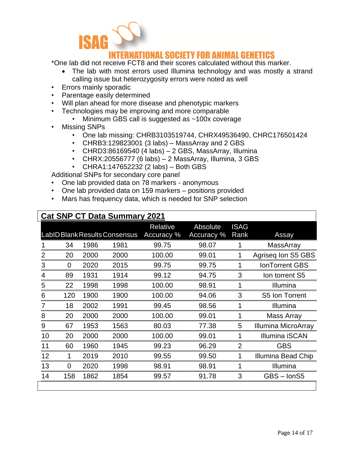

# ERNATIONAL SOCIETY FOR ANIMAL GENETICS

\*One lab did not receive FCT8 and their scores calculated without this marker.

- The lab with most errors used Illumina technology and was mostly a strand calling issue but heterozygosity errors were noted as well
- Errors mainly sporadic
- Parentage easily determined
- Will plan ahead for more disease and phenotypic markers
- Technologies may be improving and more comparable
	- Minimum GBS call is suggested as ~100x coverage
- Missing SNPs
	- One lab missing: CHRB3103519744, CHRX49536490, CHRC176501424
	- CHRB3:129823001 (3 labs) MassArray and 2 GBS
	- CHRD3:86169540 (4 labs) 2 GBS, MassArray, Illumina
	- CHRX:20556777 (6 labs) 2 MassArray, Illumina, 3 GBS
	- CHRA1:147652232 (2 labs) Both GBS

Additional SNPs for secondary core panel

- One lab provided data on 78 markers anonymous
- One lab provided data on 159 markers positions provided
- Mars has frequency data, which is needed for SNP selection

| <b>Cat SNP CT Data Summary 2021</b> |                |      |                               |                               |                        |                     |                       |  |  |  |
|-------------------------------------|----------------|------|-------------------------------|-------------------------------|------------------------|---------------------|-----------------------|--|--|--|
|                                     |                |      | LabID Blank Results Consensus | <b>Relative</b><br>Accuracy % | Absolute<br>Accuracy % | <b>ISAG</b><br>Rank | Assay                 |  |  |  |
|                                     | 34             | 1986 | 1981                          | 99.75                         | 98.07                  |                     | <b>MassArray</b>      |  |  |  |
| 2                                   | 20             | 2000 | 2000                          | 100.00                        | 99.01                  |                     | Agriseq Ion S5 GBS    |  |  |  |
| 3                                   | 0              | 2020 | 2015                          | 99.75                         | 99.75                  | 1                   | <b>IonTorrent GBS</b> |  |  |  |
| 4                                   | 89             | 1931 | 1914                          | 99.12                         | 94.75                  | 3                   | Ion torrent S5        |  |  |  |
| 5                                   | 22             | 1998 | 1998                          | 100.00                        | 98.91                  | 1                   | Illumina              |  |  |  |
| 6                                   | 120            | 1900 | 1900                          | 100.00                        | 94.06                  | 3                   | S5 Ion Torrent        |  |  |  |
| $\overline{7}$                      | 18             | 2002 | 1991                          | 99.45                         | 98.56                  | 1                   | Illumina              |  |  |  |
| 8                                   | 20             | 2000 | 2000                          | 100.00                        | 99.01                  | 1                   | Mass Array            |  |  |  |
| 9                                   | 67             | 1953 | 1563                          | 80.03                         | 77.38                  | 5                   | Illumina MicroArray   |  |  |  |
| 10                                  | 20             | 2000 | 2000                          | 100.00                        | 99.01                  | 1                   | <b>Illumina iSCAN</b> |  |  |  |
| 11                                  | 60             | 1960 | 1945                          | 99.23                         | 96.29                  | 2                   | <b>GBS</b>            |  |  |  |
| 12                                  | 1              | 2019 | 2010                          | 99.55                         | 99.50                  |                     | Illumina Bead Chip    |  |  |  |
| 13                                  | $\overline{0}$ | 2020 | 1998                          | 98.91                         | 98.91                  | 1                   | Illumina              |  |  |  |
| 14                                  | 158            | 1862 | 1854                          | 99.57                         | 91.78                  | 3                   | GBS - IonS5           |  |  |  |
|                                     |                |      |                               |                               |                        |                     |                       |  |  |  |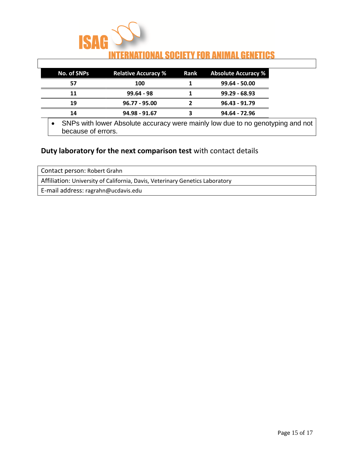

| No. of SNPs | <b>Relative Accuracy %</b> | <b>Rank</b> Absolute Accuracy % |
|-------------|----------------------------|---------------------------------|
| 57          | 100                        | $99.64 - 50.00$                 |
| 11          | $99.64 - 98$               | $99.29 - 68.93$                 |
| 19          | $96.77 - 95.00$            | $96.43 - 91.79$                 |
| 14          | 94.98 - 91.67              | 94.64 - 72.96                   |

• SNPs with lower Absolute accuracy were mainly low due to no genotyping and not because of errors.

# **Duty laboratory for the next comparison test** with contact details

| Contact person: Robert Grahn                                                 |  |  |  |  |
|------------------------------------------------------------------------------|--|--|--|--|
| Affiliation: University of California, Davis, Veterinary Genetics Laboratory |  |  |  |  |
| E-mail address: ragrahn@ucdavis.edu                                          |  |  |  |  |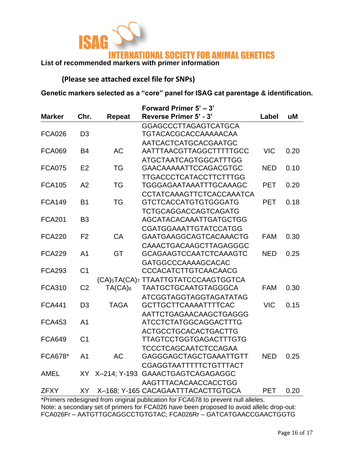

**(Please see attached excel file for SNPs)**

**Genetic markers selected as a "core" panel for ISAG cat parentage & identification.**

|                |                |              | Forward Primer 5' - 3'                                       |            |      |  |  |
|----------------|----------------|--------------|--------------------------------------------------------------|------------|------|--|--|
| <b>Marker</b>  | Chr.           | Repeat       | Reverse Primer 5' - 3'                                       | Label      | uM   |  |  |
|                |                |              | <b>GGAGCCCTTAGAGTCATGCA</b>                                  |            |      |  |  |
| <b>FCA026</b>  | D <sub>3</sub> |              | TGTACACGCACCAAAAACAA                                         |            |      |  |  |
|                |                |              | <b>AATCACTCATGCACGAATGC</b>                                  |            |      |  |  |
| <b>FCA069</b>  | <b>B4</b>      | <b>AC</b>    | AATTTAACGTTAGGCTTTTTGCC                                      | <b>VIC</b> | 0.20 |  |  |
|                |                |              | <b>ATGCTAATCAGTGGCATTTGG</b>                                 |            |      |  |  |
| <b>FCA075</b>  | E <sub>2</sub> | <b>TG</b>    | <b>GAACAAAAATTCCAGACGTGC</b>                                 | <b>NED</b> | 0.10 |  |  |
|                |                |              | <b>TTGACCCTCATACCTTCTTTGG</b>                                |            |      |  |  |
| <b>FCA105</b>  | A2             | <b>TG</b>    | TGGGAGAATAAATTTGCAAAGC                                       | <b>PET</b> | 0.20 |  |  |
|                |                |              | CCTATCAAAGTTCTCACCAAATCA                                     |            |      |  |  |
| <b>FCA149</b>  | <b>B1</b>      | <b>TG</b>    | <b>GTCTCACCATGTGTGGGATG</b>                                  | <b>PET</b> | 0.18 |  |  |
|                |                |              | <b>TCTGCAGGACCAGTCAGATG</b>                                  |            |      |  |  |
| <b>FCA201</b>  | B <sub>3</sub> |              | <b>AGCATACACAAATTGATGCTGG</b>                                |            |      |  |  |
|                |                |              | <b>CGATGGAAATTGTATCCATGG</b>                                 |            |      |  |  |
| <b>FCA220</b>  | F <sub>2</sub> | CA           | <b>GAATGAAGGCAGTCACAAACTG</b>                                | <b>FAM</b> | 0.30 |  |  |
|                |                |              | CAAACTGACAAGCTTAGAGGGC                                       |            |      |  |  |
| <b>FCA229</b>  | A <sub>1</sub> | <b>GT</b>    | <b>GCAGAAGTCCAATCTCAAAGTC</b>                                | <b>NED</b> | 0.25 |  |  |
|                |                |              | <b>GATGGCCCAAAAGCACAC</b>                                    |            |      |  |  |
| <b>FCA293</b>  | C <sub>1</sub> |              | CCCACATCTTGTCAACAACG                                         |            |      |  |  |
|                |                |              | (CA) <sub>5</sub> TA(CA) <sub>7</sub> TTAATTGTATCCCAAGTGGTCA |            |      |  |  |
| <b>FCA310</b>  | C <sub>2</sub> | $TA(CA)_{8}$ | <b>TAATGCTGCAATGTAGGGCA</b>                                  | <b>FAM</b> | 0.30 |  |  |
|                |                |              | <b>ATCGGTAGGTAGGTAGATATAG</b>                                |            |      |  |  |
| <b>FCA441</b>  | D <sub>3</sub> | <b>TAGA</b>  | <b>GCTTGCTTCAAAATTTTCAC</b>                                  | <b>VIC</b> | 0.15 |  |  |
|                |                |              | AATTCTGAGAACAAGCTGAGGG                                       |            |      |  |  |
| <b>FCA453</b>  | A <sub>1</sub> |              | <b>ATCCTCTATGGCAGGACTTTG</b>                                 |            |      |  |  |
|                |                |              | <b>ACTGCCTGCACACTGACTTG</b>                                  |            |      |  |  |
| <b>FCA649</b>  | C <sub>1</sub> |              | <b>TTAGTCCTGGTGAGACTTTGTG</b>                                |            |      |  |  |
|                |                |              | <b>TCCCTCAGCAATCTCCAGAA</b>                                  |            |      |  |  |
| <b>FCA678*</b> | A <sub>1</sub> | <b>AC</b>    | GAGGGAGCTAGCTGAAATTGTT                                       | <b>NED</b> | 0.25 |  |  |
|                |                |              | CGAGGTAATTTTTCTGTTTACT                                       |            |      |  |  |
| <b>AMEL</b>    |                |              | XY X-214; Y-193 GAAACTGAGTCAGAGAGGC                          |            |      |  |  |
|                |                |              | AAGTTTACACAACCACCTGG                                         |            |      |  |  |
| <b>ZFXY</b>    | XY             |              | X-168; Y-165 CACAGAATTTACACTTGTGCA                           | <b>PET</b> | 0.20 |  |  |

\*Primers redesigned from original publication for FCA678 to prevent null alleles. Note: a secondary set of primers for FCA026 have been proposed to avoid allelic drop-out: FCA026Fr – AATGTTGCAGGCCTGTGTAC; FCA026Rr – GATCATGAACCGAACTGGTG